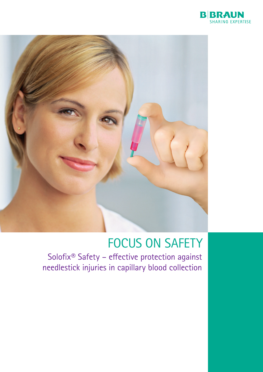



## FOCUS ON SAFETY

Solofix® Safety – effective protection against needlestick injuries in capillary blood collection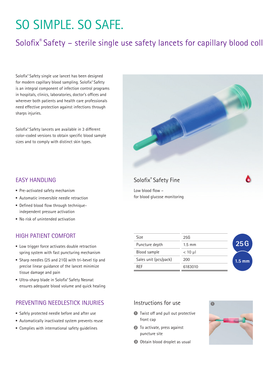# So Simple. So Safe.

## Solofix® Safety – sterile single use safety lancets for capillary blood coll

Solofix® Safety single use lancet has been designed for modern capillary blood sampling. Solofix® Safety is an integral component of infection control programs in hospitals, clinics, laboratories, doctor's offices and wherever both patients and health care professionals need effective protection against infections through sharps injuries.

Solofix® Safety lancets are available in 3 different color-coded versions to obtain specific blood sample sizes and to comply with distinct skin types.

### Easy handling

- Pre-activated safety mechanism
- Automatic irreversible needle retraction
- Defined blood flow through techniqueindependent pressure activation
- $\blacksquare$  No risk of unintended activation

### High patient comfort

- Low trigger force activates double retraction spring system with fast puncturing mechanism
- Sharp needles (25 and 21G) with tri-bevel tip and precise linear guidance of the lancet minimize tissue damage and pain
- Ultra-sharp blade in Solofix® Safety Neonat ensures adequate blood volume and quick healing

#### PREVENTING NEEDLESTICK INJURIES

- Safely protected needle before and after use
- $\blacksquare$  Automatically inactivated system prevents reuse
- $\blacksquare$  Complies with international safety quidelines

| Size                  | 25G              |          |
|-----------------------|------------------|----------|
| Puncture depth        | $1.5 \text{ mm}$ | 25G      |
| Blood sample          | $< 10 \mu$       |          |
| Sales unit (pcs/pack) | 200              | $1.5$ mm |
| <b>RFF</b>            | 6183010          |          |

#### Instructions for use

- **1** Twist off and pull out protective front cap
- <sup>2</sup> To activate, press against puncture site
- **3** Obtain blood droplet as usual



### Solofix® Safety Fine

Low blood flow – for blood glucose monitoring

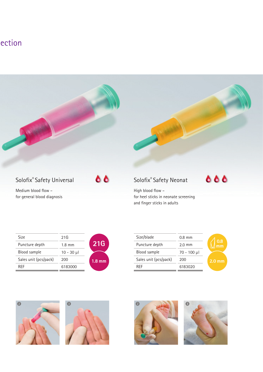## ection



Medium blood flow – for general blood diagnosis



666

High blood flow – for heel sticks in neonate screening and finger sticks in adults

| Size                  | 21G              |                     |
|-----------------------|------------------|---------------------|
| Puncture depth        | $1.8 \text{ mm}$ | 21G                 |
| Blood sample          | $10 - 30$ µ      |                     |
| Sales unit (pcs/pack) | 200              | $1.8 \,\mathrm{mm}$ |
| RFF                   | 6183000          |                     |
|                       |                  |                     |

| Size/blade            | $0.8$ mm         |
|-----------------------|------------------|
| Puncture depth        | $2.0 \text{ mm}$ |
| Blood sample          | $70 - 100$ µ     |
| Sales unit (pcs/pack) | 200              |
| RFF                   | 6183020          |